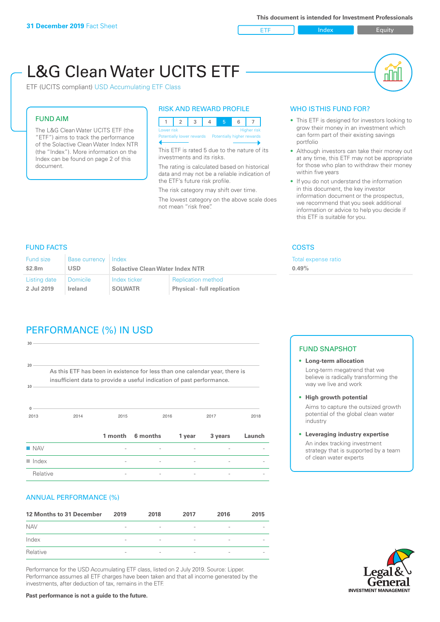ETF Index Builty

# L&G Clean Water UCITS ETF

ETF (UCITS compliant) USD Accumulating ETF Class

#### FUND AIM

The L&G Clean Water UCITS ETF (the "ETF") aims to track the performance of the Solactive Clean Water Index NTR (the "Index"). More information on the Index can be found on page 2 of this document.

#### RISK AND REWARD PROFILE

|                                                      | Lower risk<br><b>Higher risk</b> |  |  |  |  |  |  |  |  |
|------------------------------------------------------|----------------------------------|--|--|--|--|--|--|--|--|
| Potentially lower rewards Potentially higher rewards |                                  |  |  |  |  |  |  |  |  |
|                                                      |                                  |  |  |  |  |  |  |  |  |

This ETF is rated 5 due to the nature of its investments and its risks.

The rating is calculated based on historical data and may not be a reliable indication of the ETF's future risk profile.

The risk category may shift over time. The lowest category on the above scale does not mean "risk free".

#### WHO IS THIS FUND FOR?

- This ETF is designed for investors looking to grow their money in an investment which can form part of their existing savings portfolio
- Although investors can take their money out at any time, this ETF may not be appropriate for those who plan to withdraw their money within five years
- If you do not understand the information in this document, the key investor information document or the prospectus, we recommend that you seek additional information or advice to help you decide if this ETF is suitable for you.

xpense ratio

#### FUND FACTS COSTS

| <b>Fund size</b> | Base currency Index |                                        | Total e:                           |  |
|------------------|---------------------|----------------------------------------|------------------------------------|--|
| \$2.8m           | <b>USD</b>          | <b>Solactive Clean Water Index NTR</b> | 0.49%                              |  |
| Listing date     | <b>Domicile</b>     | Index ticker                           | <b>Replication method</b>          |  |
| 2 Jul 2019       | Ireland             | <b>SOLWATR</b>                         | <b>Physical - full replication</b> |  |

## PERFORMANCE (%) IN USD

| $30 -$                    |                                                                                                                                                      |      |                  |        |         |        |
|---------------------------|------------------------------------------------------------------------------------------------------------------------------------------------------|------|------------------|--------|---------|--------|
| 20 <sup>1</sup><br>$10 -$ | As this ETF has been in existence for less than one calendar year, there is<br>insufficient data to provide a useful indication of past performance. |      |                  |        |         |        |
| 0<br>2013                 | 2014                                                                                                                                                 | 2015 |                  | 2016   | 2017    | 2018   |
|                           |                                                                                                                                                      |      | 1 month 6 months | 1 year | 3 years | Launch |
| $\blacksquare$ NAV        |                                                                                                                                                      |      |                  |        |         |        |
| $\blacksquare$ Index      |                                                                                                                                                      |      |                  |        |         |        |
| Relative                  |                                                                                                                                                      |      |                  |        |         |        |

#### ANNUAL PERFORMANCE (%)

| 12 Months to 31 December | 2019                     | 2018                     | 2017                     | 2016                     | 2015                     |
|--------------------------|--------------------------|--------------------------|--------------------------|--------------------------|--------------------------|
| <b>NAV</b>               | $\qquad \qquad$          | $\overline{\phantom{a}}$ | $\overline{\phantom{a}}$ | $\overline{\phantom{a}}$ | $\overline{\phantom{a}}$ |
| Index                    | $\qquad \qquad$          | $\overline{\phantom{a}}$ | $\qquad \qquad$          | $\qquad \qquad$          | $\overline{\phantom{a}}$ |
| Relative                 | $\overline{\phantom{a}}$ | $\overline{\phantom{a}}$ | $\overline{\phantom{a}}$ | $\sim$                   | $\overline{\phantom{a}}$ |

Performance for the USD Accumulating ETF class, listed on 2 July 2019. Source: Lipper. Performance assumes all ETF charges have been taken and that all income generated by the investments, after deduction of tax, remains in the ETF.

#### FUND SNAPSHOT

- **• Long-term allocation** Long-term megatrend that we believe is radically transforming the way we live and work
- **• High growth potential** Aims to capture the outsized growth potential of the global clean water industry
- **• Leveraging industry expertise**

An index tracking investment strategy that is supported by a team of clean water experts



**Past performance is not a guide to the future.**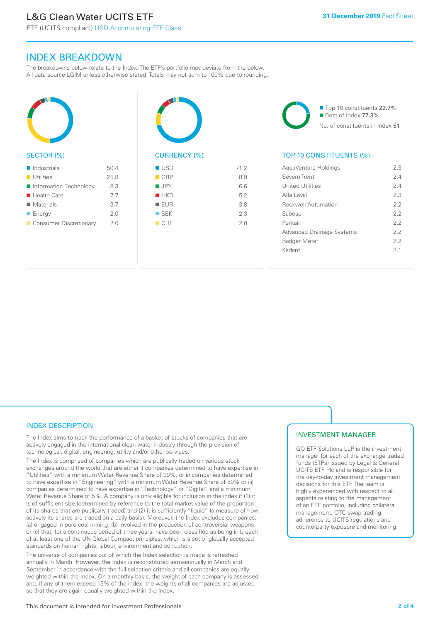ETF (UCITS compliant) USD Accumulating ETF Class

### INDEX BREAKDOWN

The breakdowns below relate to the Index. The ETF's portfolio may deviate from the below. All data source LGIM unless otherwise stated. Totals may not sum to 100% due to rounding.



#### SECTOR (%)

| $\blacksquare$ Industrials | 50.4 |
|----------------------------|------|
| $\blacksquare$ Utilities   | 25.8 |
| Information Technology     | 8.3  |
| $\blacksquare$ Health Care | 7.7  |
| $\blacksquare$ Materials   | 3.7  |
| $\blacksquare$ Energy      | 2.0  |
| Consumer Discretionary     | 2 O  |



# $\blacksquare$  USD  $\blacksquare$  71.2

| $\blacksquare$ GBP | 8.9 |
|--------------------|-----|
| $\blacksquare$ JPY | 6.6 |
| HKD                | 5.2 |
| EUR                | 3.8 |
| $\square$ SEK      | 2.3 |
| CHF                | 2.0 |
|                    |     |

■ Top 10 constituents 22.7% Rest of Index 77.3% No. of constituents in Index 51

#### TOP 10 CONSTITUENTS (%)

| AquaVenture Holdings             | 2.5            |
|----------------------------------|----------------|
| Severn Trent                     | 24             |
| <b>United Utilities</b>          | 24             |
| Alfa Laval                       | 23             |
| <b>Rockwell Automation</b>       | 2.2            |
| Sabesp                           | 22             |
| Pentair                          | 22             |
| <b>Advanced Drainage Systems</b> | 22             |
| <b>Badger Meter</b>              | 22             |
| Kadant                           | 2 <sub>1</sub> |
|                                  |                |

#### INDEX DESCRIPTION

The Index aims to track the performance of a basket of stocks of companies that are actively engaged in the international clean water industry through the provision of technological, digital, engineering, utility and/or other services.

The Index is comprised of companies which are publically traded on various stock exchanges around the world that are either i) companies determined to have expertise in "Utilities" with a minimum Water Revenue Share of 90%, or ii) companies determined to have expertise in "Engineering" with a minimum Water Revenue Share of 50% or iii) companies determined to have expertise in "Technology" or "Digital" and a minimum Water Revenue Share of 5%. A company is only eligible for inclusion in the index if (1) it is of sufficient size (determined by reference to the total market value of the proportion of its shares that are publically traded) and (2) it is sufficiently "liquid" (a measure of how actively its shares are traded on a daily basis). Moreover, the Index excludes companies: (a) engaged in pure coal mining; (b) involved in the production of controversial weapons; or (c) that, for a continuous period of three years, have been classified as being in breach of at least one of the UN Global Compact principles, which is a set of globally accepted standards on human rights, labour, environment and corruption.

The universe of companies out of which the Index selection is made is refreshed annually in March. However, the Index is reconstituted semi-annually in March and September in accordance with the full selection criteria and all companies are equally weighted within the Index. On a monthly basis, the weight of each company is assessed and, if any of them exceed 15% of the index, the weights of all companies are adjusted so that they are again equally weighted within the Index.

#### INVESTMENT MANAGER

GO ETF Solutions LLP is the investment manager for each of the exchange traded funds (ETFs) issued by Legal & General UCITS ETF Plc and is responsible for the day-to-day investment management decisions for this ETF. The team is highly experienced with respect to all aspects relating to the management of an ETF portfolio, including collateral management, OTC swap trading, adherence to UCITS regulations and counterparty exposure and monitoring.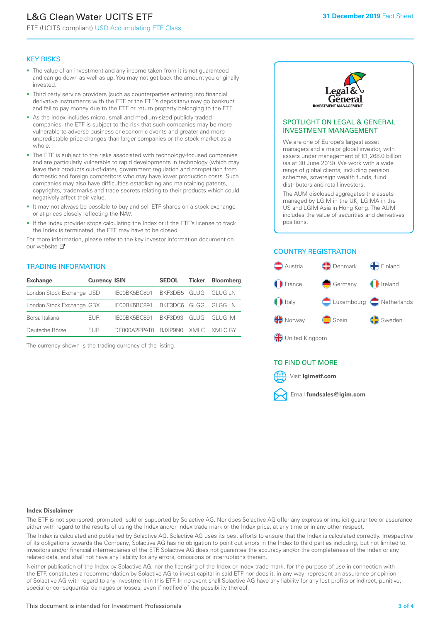# L&G Clean Water UCITS ETF

ETF (UCITS compliant) USD Accumulating ETF Class

#### KEY RISKS

- The value of an investment and any income taken from it is not guaranteed and can go down as well as up. You may not get back the amount you originally invested.
- Third party service providers (such as counterparties entering into financial derivative instruments with the ETF or the ETF's depositary) may go bankrupt and fail to pay money due to the ETF or return property belonging to the ETF.
- As the Index includes micro, small and medium-sized publicly traded companies, the ETF is subject to the risk that such companies may be more vulnerable to adverse business or economic events and greater and more unpredictable price changes than larger companies or the stock market as a whole.
- The ETF is subject to the risks associated with technology-focused companies and are particularly vulnerable to rapid developments in technology (which may leave their products out-of-date), government regulation and competition from domestic and foreign competitors who may have lower production costs. Such companies may also have difficulties establishing and maintaining patents, copyrights, trademarks and trade secrets relating to their products which could negatively affect their value.
- It may not always be possible to buy and sell ETF shares on a stock exchange or at prices closely reflecting the NAV.
- If the Index provider stops calculating the Index or if the ETF's license to track the Index is terminated, the ETF may have to be closed.

For more information, please refer to the key investor information document on our website Ø

#### TRADING INFORMATION

| <b>Exchange</b>           | <b>Currency ISIN</b> |                                   | <b>SEDOL</b> | Ticker | <b>Bloomberg</b> |
|---------------------------|----------------------|-----------------------------------|--------------|--------|------------------|
| London Stock Exchange USD |                      | IE00BK5BC891 BKF3DB5 GLUG GLUG LN |              |        |                  |
| London Stock Exchange GBX |                      | IE00BK5BC891 BKF3DC6 GLGG GLGG LN |              |        |                  |
| Borsa Italiana            | <b>FUR</b>           | IE00BK5BC891 BKF3D93 GLUG GLUG IM |              |        |                  |
| Deutsche Börse            | <b>FUR</b>           | DE000A2PPATO BJXP9NO XMLC XMLCGY  |              |        |                  |

The currency shown is the trading currency of the listing.



#### SPOTLIGHT ON LEGAL & GENERAL INVESTMENT MANAGEMENT

We are one of Europe's largest asset managers and a major global investor, with assets under management of €1,268.0 billion (as at 30 June 2019). We work with a wide range of global clients, including pension schemes, sovereign wealth funds, fund distributors and retail investors.

The AUM disclosed aggregates the assets managed by LGIM in the UK, LGIMA in the US and LGIM Asia in Hong Kong. The AUM includes the value of securities and derivatives positions.

#### COUNTRY REGISTRATION



#### TO FIND OUT MORE



#### **Index Disclaimer**

The ETF is not sponsored, promoted, sold or supported by Solactive AG. Nor does Solactive AG offer any express or implicit guarantee or assurance either with regard to the results of using the Index and/or Index trade mark or the Index price, at any time or in any other respect.

The Index is calculated and published by Solactive AG. Solactive AG uses its best efforts to ensure that the Index is calculated correctly. Irrespective of its obligations towards the Company, Solactive AG has no obligation to point out errors in the Index to third parties including, but not limited to, investors and/or financial intermediaries of the ETF. Solactive AG does not guarantee the accuracy and/or the completeness of the Index or any related data, and shall not have any liability for any errors, omissions or interruptions therein.

Neither publication of the Index by Solactive AG, nor the licensing of the Index or Index trade mark, for the purpose of use in connection with the ETF, constitutes a recommendation by Solactive AG to invest capital in said ETF nor does it, in any way, represent an assurance or opinion of Solactive AG with regard to any investment in this ETF. In no event shall Solactive AG have any liability for any lost profits or indirect, punitive, special or consequential damages or losses, even if notified of the possibility thereof.